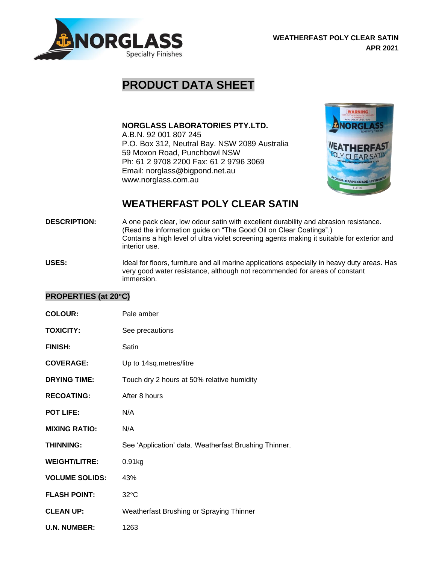

## **PRODUCT DATA SHEET**

**NORGLASS LABORATORIES PTY.LTD.** A.B.N. 92 001 807 245

P.O. Box 312, Neutral Bay. NSW 2089 Australia 59 Moxon Road, Punchbowl NSW Ph: 61 2 9708 2200 Fax: 61 2 9796 3069 Email: norglass@bigpond.net.au www.norglass.com.au



## **WEATHERFAST POLY CLEAR SATIN**

- **DESCRIPTION:** A one pack clear, low odour satin with excellent durability and abrasion resistance. (Read the information guide on "The Good Oil on Clear Coatings".) Contains a high level of ultra violet screening agents making it suitable for exterior and interior use.
- USES: Ideal for floors, furniture and all marine applications especially in heavy duty areas. Has very good water resistance, although not recommended for areas of constant immersion.

## **PROPERTIES (at 20C)**

| <b>COLOUR:</b>        | Pale amber                                            |
|-----------------------|-------------------------------------------------------|
| <b>TOXICITY:</b>      | See precautions                                       |
| <b>FINISH:</b>        | Satin                                                 |
| <b>COVERAGE:</b>      | Up to 14sq.metres/litre                               |
| <b>DRYING TIME:</b>   | Touch dry 2 hours at 50% relative humidity            |
| <b>RECOATING:</b>     | After 8 hours                                         |
| POT LIFE:             | N/A                                                   |
| <b>MIXING RATIO:</b>  | N/A                                                   |
| <b>THINNING:</b>      | See 'Application' data. Weatherfast Brushing Thinner. |
| <b>WEIGHT/LITRE:</b>  | 0.91kg                                                |
| <b>VOLUME SOLIDS:</b> | 43%                                                   |
| <b>FLASH POINT:</b>   | $32^{\circ}$ C                                        |
| <b>CLEAN UP:</b>      | Weatherfast Brushing or Spraying Thinner              |
| <b>U.N. NUMBER:</b>   | 1263                                                  |